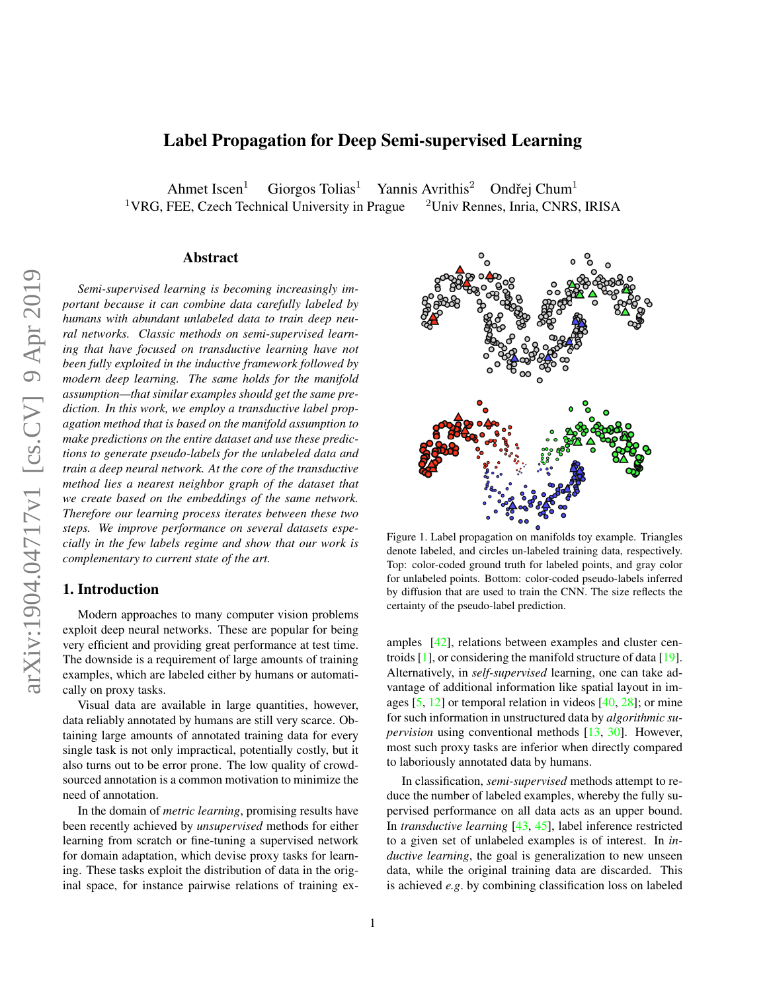# <span id="page-0-1"></span>Label Propagation for Deep Semi-supervised Learning

Ahmet Iscen<sup>1</sup> Giorgos Tolias<sup>1</sup> Yannis Avrithis<sup>2</sup> Ondřej Chum<sup>1</sup> <sup>1</sup>VRG, FEE, Czech Technical University in Prague  $2$ Univ Rennes, Inria, CNRS, IRISA

### Abstract

*Semi-supervised learning is becoming increasingly important because it can combine data carefully labeled by humans with abundant unlabeled data to train deep neural networks. Classic methods on semi-supervised learning that have focused on transductive learning have not been fully exploited in the inductive framework followed by modern deep learning. The same holds for the manifold assumption—that similar examples should get the same prediction. In this work, we employ a transductive label propagation method that is based on the manifold assumption to make predictions on the entire dataset and use these predictions to generate pseudo-labels for the unlabeled data and train a deep neural network. At the core of the transductive method lies a nearest neighbor graph of the dataset that we create based on the embeddings of the same network. Therefore our learning process iterates between these two steps. We improve performance on several datasets especially in the few labels regime and show that our work is complementary to current state of the art.*

## 1. Introduction

Modern approaches to many computer vision problems exploit deep neural networks. These are popular for being very efficient and providing great performance at test time. The downside is a requirement of large amounts of training examples, which are labeled either by humans or automatically on proxy tasks.

Visual data are available in large quantities, however, data reliably annotated by humans are still very scarce. Obtaining large amounts of annotated training data for every single task is not only impractical, potentially costly, but it also turns out to be error prone. The low quality of crowdsourced annotation is a common motivation to minimize the need of annotation.

In the domain of *metric learning*, promising results have been recently achieved by *unsupervised* methods for either learning from scratch or fine-tuning a supervised network for domain adaptation, which devise proxy tasks for learning. These tasks exploit the distribution of data in the original space, for instance pairwise relations of training ex-



<span id="page-0-0"></span>Figure 1. Label propagation on manifolds toy example. Triangles denote labeled, and circles un-labeled training data, respectively. Top: color-coded ground truth for labeled points, and gray color for unlabeled points. Bottom: color-coded pseudo-labels inferred by diffusion that are used to train the CNN. The size reflects the certainty of the pseudo-label prediction.

amples [\[42\]](#page-9-0), relations between examples and cluster centroids [\[1\]](#page-8-0), or considering the manifold structure of data [\[19\]](#page-8-1). Alternatively, in *self-supervised* learning, one can take advantage of additional information like spatial layout in images  $[5, 12]$  $[5, 12]$  $[5, 12]$  or temporal relation in videos  $[40, 28]$  $[40, 28]$  $[40, 28]$ ; or mine for such information in unstructured data by *algorithmic supervision* using conventional methods [\[13,](#page-8-5) [30\]](#page-8-6). However, most such proxy tasks are inferior when directly compared to laboriously annotated data by humans.

In classification, *semi-supervised* methods attempt to reduce the number of labeled examples, whereby the fully supervised performance on all data acts as an upper bound. In *transductive learning* [\[43,](#page-9-2) [45\]](#page-9-3), label inference restricted to a given set of unlabeled examples is of interest. In *inductive learning*, the goal is generalization to new unseen data, while the original training data are discarded. This is achieved *e.g*. by combining classification loss on labeled

1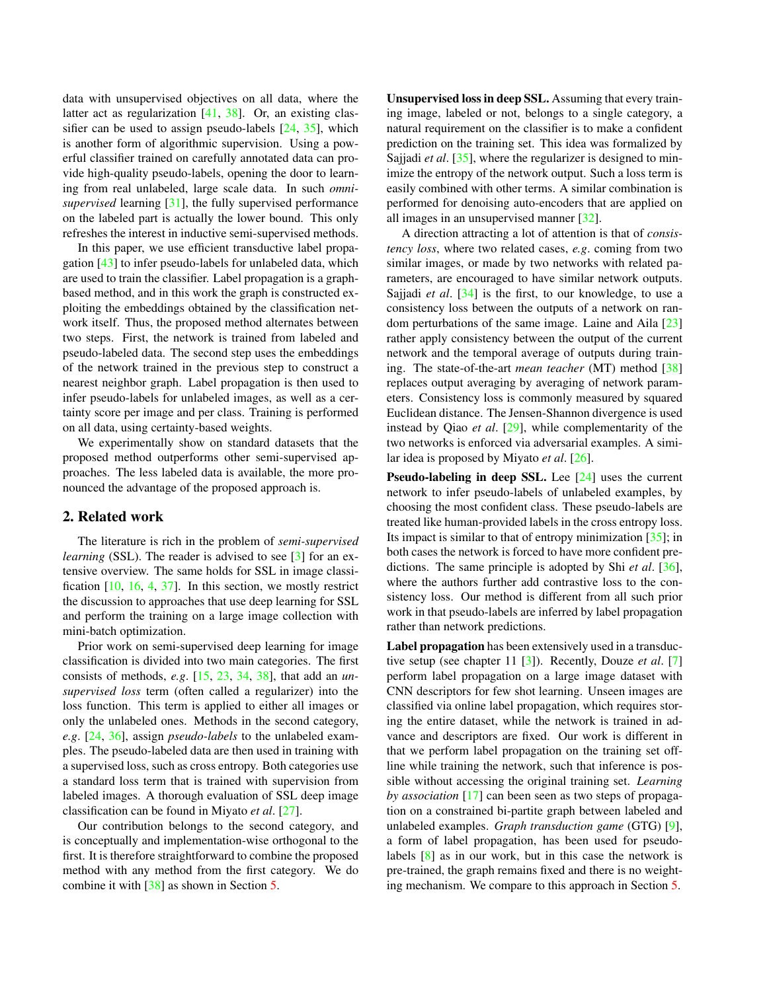<span id="page-1-0"></span>data with unsupervised objectives on all data, where the latter act as regularization [\[41,](#page-9-4) [38\]](#page-8-7). Or, an existing classifier can be used to assign pseudo-labels [\[24,](#page-8-8) [35\]](#page-8-9), which is another form of algorithmic supervision. Using a powerful classifier trained on carefully annotated data can provide high-quality pseudo-labels, opening the door to learning from real unlabeled, large scale data. In such *omnisupervised* learning [\[31\]](#page-8-10), the fully supervised performance on the labeled part is actually the lower bound. This only refreshes the interest in inductive semi-supervised methods.

In this paper, we use efficient transductive label propagation [\[43\]](#page-9-2) to infer pseudo-labels for unlabeled data, which are used to train the classifier. Label propagation is a graphbased method, and in this work the graph is constructed exploiting the embeddings obtained by the classification network itself. Thus, the proposed method alternates between two steps. First, the network is trained from labeled and pseudo-labeled data. The second step uses the embeddings of the network trained in the previous step to construct a nearest neighbor graph. Label propagation is then used to infer pseudo-labels for unlabeled images, as well as a certainty score per image and per class. Training is performed on all data, using certainty-based weights.

We experimentally show on standard datasets that the proposed method outperforms other semi-supervised approaches. The less labeled data is available, the more pronounced the advantage of the proposed approach is.

## 2. Related work

The literature is rich in the problem of *semi-supervised learning* (SSL). The reader is advised to see [\[3\]](#page-8-11) for an extensive overview. The same holds for SSL in image classification [\[10,](#page-8-12) [16,](#page-8-13) [4,](#page-8-14) [37\]](#page-8-15). In this section, we mostly restrict the discussion to approaches that use deep learning for SSL and perform the training on a large image collection with mini-batch optimization.

Prior work on semi-supervised deep learning for image classification is divided into two main categories. The first consists of methods, *e.g*. [\[15,](#page-8-16) [23,](#page-8-17) [34,](#page-8-18) [38\]](#page-8-7), that add an *unsupervised loss* term (often called a regularizer) into the loss function. This term is applied to either all images or only the unlabeled ones. Methods in the second category, *e.g*. [\[24,](#page-8-8) [36\]](#page-8-19), assign *pseudo-labels* to the unlabeled examples. The pseudo-labeled data are then used in training with a supervised loss, such as cross entropy. Both categories use a standard loss term that is trained with supervision from labeled images. A thorough evaluation of SSL deep image classification can be found in Miyato *et al*. [\[27\]](#page-8-20).

Our contribution belongs to the second category, and is conceptually and implementation-wise orthogonal to the first. It is therefore straightforward to combine the proposed method with any method from the first category. We do combine it with [\[38\]](#page-8-7) as shown in Section [5.](#page-5-0)

Unsupervised loss in deep SSL. Assuming that every training image, labeled or not, belongs to a single category, a natural requirement on the classifier is to make a confident prediction on the training set. This idea was formalized by Sajjadi *et al*. [\[35\]](#page-8-9), where the regularizer is designed to minimize the entropy of the network output. Such a loss term is easily combined with other terms. A similar combination is performed for denoising auto-encoders that are applied on all images in an unsupervised manner [\[32\]](#page-8-21).

A direction attracting a lot of attention is that of *consistency loss*, where two related cases, *e.g*. coming from two similar images, or made by two networks with related parameters, are encouraged to have similar network outputs. Sajjadi *et al*. [\[34\]](#page-8-18) is the first, to our knowledge, to use a consistency loss between the outputs of a network on random perturbations of the same image. Laine and Aila [\[23\]](#page-8-17) rather apply consistency between the output of the current network and the temporal average of outputs during training. The state-of-the-art *mean teacher* (MT) method [\[38\]](#page-8-7) replaces output averaging by averaging of network parameters. Consistency loss is commonly measured by squared Euclidean distance. The Jensen-Shannon divergence is used instead by Qiao *et al*. [\[29\]](#page-8-22), while complementarity of the two networks is enforced via adversarial examples. A similar idea is proposed by Miyato *et al*. [\[26\]](#page-8-23).

Pseudo-labeling in deep SSL. Lee [\[24\]](#page-8-8) uses the current network to infer pseudo-labels of unlabeled examples, by choosing the most confident class. These pseudo-labels are treated like human-provided labels in the cross entropy loss. Its impact is similar to that of entropy minimization [\[35\]](#page-8-9); in both cases the network is forced to have more confident predictions. The same principle is adopted by Shi *et al*. [\[36\]](#page-8-19), where the authors further add contrastive loss to the consistency loss. Our method is different from all such prior work in that pseudo-labels are inferred by label propagation rather than network predictions.

Label propagation has been extensively used in a transductive setup (see chapter 11 [\[3\]](#page-8-11)). Recently, Douze *et al*. [\[7\]](#page-8-24) perform label propagation on a large image dataset with CNN descriptors for few shot learning. Unseen images are classified via online label propagation, which requires storing the entire dataset, while the network is trained in advance and descriptors are fixed. Our work is different in that we perform label propagation on the training set offline while training the network, such that inference is possible without accessing the original training set. *Learning by association* [\[17\]](#page-8-25) can been seen as two steps of propagation on a constrained bi-partite graph between labeled and unlabeled examples. *Graph transduction game* (GTG) [\[9\]](#page-8-26), a form of label propagation, has been used for pseudolabels [\[8\]](#page-8-27) as in our work, but in this case the network is pre-trained, the graph remains fixed and there is no weighting mechanism. We compare to this approach in Section [5.](#page-5-0)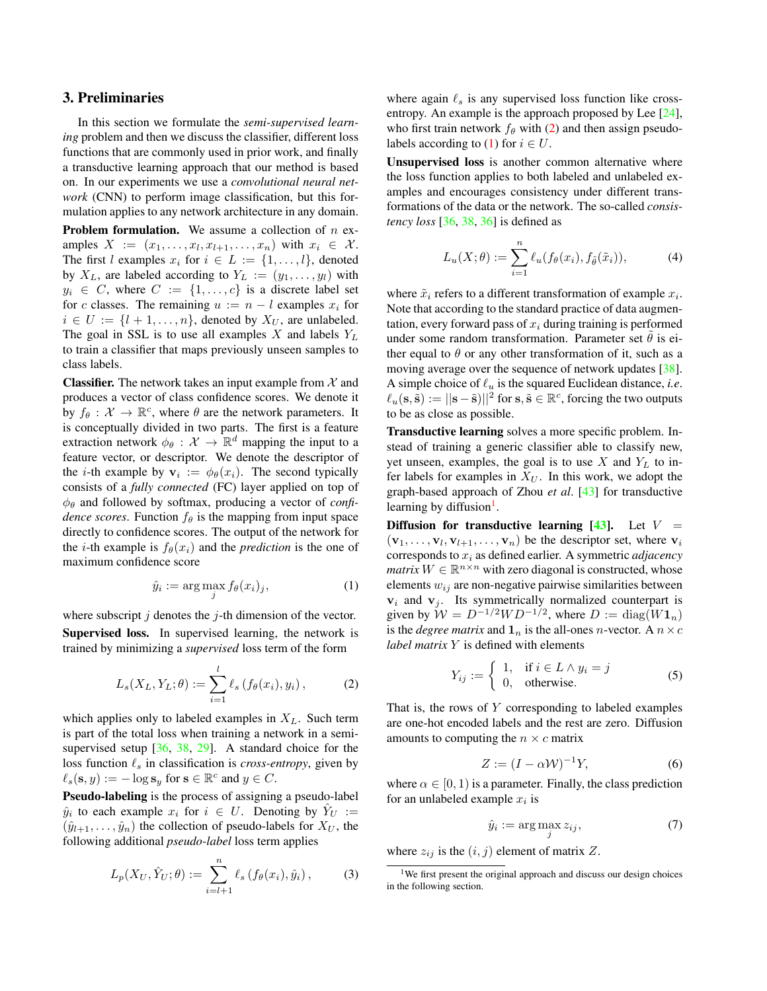## <span id="page-2-7"></span>3. Preliminaries

In this section we formulate the *semi-supervised learning* problem and then we discuss the classifier, different loss functions that are commonly used in prior work, and finally a transductive learning approach that our method is based on. In our experiments we use a *convolutional neural network* (CNN) to perform image classification, but this formulation applies to any network architecture in any domain.

**Problem formulation.** We assume a collection of  $n$  examples  $X := (x_1, \ldots, x_l, x_{l+1}, \ldots, x_n)$  with  $x_i \in \mathcal{X}$ . The first l examples  $x_i$  for  $i \in L := \{1, \ldots, l\}$ , denoted by  $X_L$ , are labeled according to  $Y_L := (y_1, \ldots, y_l)$  with  $y_i \in C$ , where  $C := \{1, \ldots, c\}$  is a discrete label set for c classes. The remaining  $u := n - l$  examples  $x_i$  for  $i \in U := \{l + 1, \ldots, n\}$ , denoted by  $X_U$ , are unlabeled. The goal in SSL is to use all examples  $X$  and labels  $Y_L$ to train a classifier that maps previously unseen samples to class labels.

**Classifier.** The network takes an input example from  $\mathcal{X}$  and produces a vector of class confidence scores. We denote it by  $f_{\theta}: \mathcal{X} \to \mathbb{R}^c$ , where  $\theta$  are the network parameters. It is conceptually divided in two parts. The first is a feature extraction network  $\phi_{\theta} : \mathcal{X} \to \mathbb{R}^d$  mapping the input to a feature vector, or descriptor. We denote the descriptor of the *i*-th example by  $v_i := \phi_\theta(x_i)$ . The second typically consists of a *fully connected* (FC) layer applied on top of  $\phi_{\theta}$  and followed by softmax, producing a vector of *confidence scores*. Function  $f_{\theta}$  is the mapping from input space directly to confidence scores. The output of the network for the *i*-th example is  $f_{\theta}(x_i)$  and the *prediction* is the one of maximum confidence score

<span id="page-2-1"></span>
$$
\hat{y}_i := \arg\max_j f_\theta(x_i)_j,\tag{1}
$$

where subscript  $j$  denotes the  $j$ -th dimension of the vector. Supervised loss. In supervised learning, the network is trained by minimizing a *supervised* loss term of the form

<span id="page-2-0"></span>
$$
L_s(X_L, Y_L; \theta) := \sum_{i=1}^l \ell_s(f_{\theta}(x_i), y_i), \qquad (2)
$$

which applies only to labeled examples in  $X_L$ . Such term is part of the total loss when training a network in a semisupervised setup [\[36,](#page-8-19) [38,](#page-8-7) [29\]](#page-8-22). A standard choice for the loss function  $\ell_s$  in classification is *cross-entropy*, given by  $\ell_s(\mathbf{s}, y) := -\log \mathbf{s}_y$  for  $\mathbf{s} \in \mathbb{R}^c$  and  $y \in C$ .

Pseudo-labeling is the process of assigning a pseudo-label  $\hat{y}_i$  to each example  $x_i$  for  $i \in U$ . Denoting by  $\hat{Y}_U :=$  $(\hat{y}_{l+1}, \ldots, \hat{y}_n)$  the collection of pseudo-labels for  $X_U$ , the following additional *pseudo-label* loss term applies

<span id="page-2-5"></span>
$$
L_p(X_U, \hat{Y}_U; \theta) := \sum_{i=l+1}^n \ell_s(f_{\theta}(x_i), \hat{y}_i), \quad (3)
$$

where again  $\ell_s$  is any supervised loss function like crossentropy. An example is the approach proposed by Lee [\[24\]](#page-8-8), who first train network  $f_\theta$  with [\(2\)](#page-2-0) and then assign pseudo-labels according to [\(1\)](#page-2-1) for  $i \in U$ .

Unsupervised loss is another common alternative where the loss function applies to both labeled and unlabeled examples and encourages consistency under different transformations of the data or the network. The so-called *consistency loss* [\[36,](#page-8-19) [38,](#page-8-7) [36\]](#page-8-19) is defined as

<span id="page-2-6"></span>
$$
L_u(X; \theta) := \sum_{i=1}^n \ell_u(f_{\theta}(x_i), f_{\tilde{\theta}}(\tilde{x}_i)), \tag{4}
$$

where  $\tilde{x}_i$  refers to a different transformation of example  $x_i$ . Note that according to the standard practice of data augmentation, every forward pass of  $x_i$  during training is performed under some random transformation. Parameter set  $\hat{\theta}$  is either equal to  $\theta$  or any other transformation of it, such as a moving average over the sequence of network updates [\[38\]](#page-8-7). A simple choice of  $\ell_u$  is the squared Euclidean distance, *i.e.*  $\ell_u(s, \tilde{s}) := ||s - \tilde{s})||^2$  for  $s, \tilde{s} \in \mathbb{R}^c$ , forcing the two outputs to be as close as possible.

Transductive learning solves a more specific problem. Instead of training a generic classifier able to classify new, yet unseen, examples, the goal is to use X and  $Y_L$  to infer labels for examples in  $X_U$ . In this work, we adopt the graph-based approach of Zhou *et al*. [\[43\]](#page-9-2) for transductive learning by diffusion<sup>[1](#page-2-2)</sup>.

Diffusion for transductive learning [\[43\]](#page-9-2). Let  $V =$  $(v_1, \ldots, v_l, v_{l+1}, \ldots, v_n)$  be the descriptor set, where  $v_i$ corresponds to x<sup>i</sup> as defined earlier. A symmetric *adjacency matrix*  $W \in \mathbb{R}^{n \times n}$  with zero diagonal is constructed, whose elements  $w_{ij}$  are non-negative pairwise similarities between  $v_i$  and  $v_j$ . Its symmetrically normalized counterpart is given by  $W = D^{-1/2}WD^{-1/2}$ , where  $D := diag(W1_n)$ is the *degree matrix* and  $\mathbf{1}_n$  is the all-ones *n*-vector. A  $n \times c$ *label matrix* Y is defined with elements

$$
Y_{ij} := \begin{cases} 1, & \text{if } i \in L \wedge y_i = j \\ 0, & \text{otherwise.} \end{cases}
$$
 (5)

That is, the rows of  $Y$  corresponding to labeled examples are one-hot encoded labels and the rest are zero. Diffusion amounts to computing the  $n \times c$  matrix

<span id="page-2-3"></span>
$$
Z := (I - \alpha \mathcal{W})^{-1} Y,\tag{6}
$$

where  $\alpha \in [0, 1)$  is a parameter. Finally, the class prediction for an unlabeled example  $x_i$  is

<span id="page-2-4"></span>
$$
\hat{y}_i := \arg\max_j z_{ij},\tag{7}
$$

where  $z_{ij}$  is the  $(i, j)$  element of matrix Z.

<span id="page-2-2"></span><sup>&</sup>lt;sup>1</sup>We first present the original approach and discuss our design choices in the following section.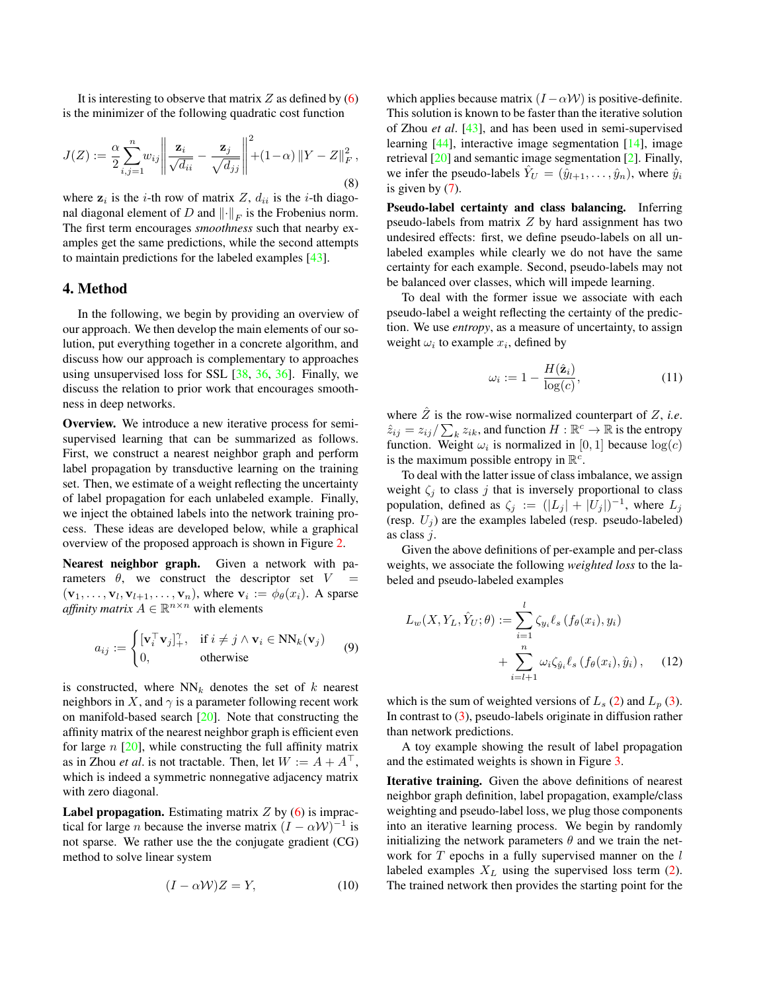<span id="page-3-5"></span>It is interesting to observe that matrix  $Z$  as defined by  $(6)$ is the minimizer of the following quadratic cost function

<span id="page-3-3"></span>
$$
J(Z) := \frac{\alpha}{2} \sum_{i,j=1}^{n} w_{ij} \left\| \frac{\mathbf{z}_i}{\sqrt{d_{ii}}} - \frac{\mathbf{z}_j}{\sqrt{d_{jj}}} \right\|^2 + (1 - \alpha) \left\| Y - Z \right\|_F^2,
$$
\n(8)

where  $z_i$  is the *i*-th row of matrix Z,  $d_{ii}$  is the *i*-th diagonal diagonal element of D and  $\left\| \cdot \right\|_F$  is the Frobenius norm. The first term encourages *smoothness* such that nearby examples get the same predictions, while the second attempts to maintain predictions for the labeled examples [\[43\]](#page-9-2).

## 4. Method

In the following, we begin by providing an overview of our approach. We then develop the main elements of our solution, put everything together in a concrete algorithm, and discuss how our approach is complementary to approaches using unsupervised loss for SSL  $[38, 36, 36]$  $[38, 36, 36]$  $[38, 36, 36]$  $[38, 36, 36]$  $[38, 36, 36]$ . Finally, we discuss the relation to prior work that encourages smoothness in deep networks.

Overview. We introduce a new iterative process for semisupervised learning that can be summarized as follows. First, we construct a nearest neighbor graph and perform label propagation by transductive learning on the training set. Then, we estimate of a weight reflecting the uncertainty of label propagation for each unlabeled example. Finally, we inject the obtained labels into the network training process. These ideas are developed below, while a graphical overview of the proposed approach is shown in Figure [2.](#page-4-0)

Nearest neighbor graph. Given a network with parameters  $\theta$ , we construct the descriptor set V  $(\mathbf{v}_1, \ldots, \mathbf{v}_l, \mathbf{v}_{l+1}, \ldots, \mathbf{v}_n)$ , where  $\mathbf{v}_i := \phi_\theta(x_i)$ . A sparse *affinity matrix*  $A \in \mathbb{R}^{n \times n}$  with elements

<span id="page-3-0"></span>
$$
a_{ij} := \begin{cases} [\mathbf{v}_i^\top \mathbf{v}_j]_+^\gamma, & \text{if } i \neq j \land \mathbf{v}_i \in \text{NN}_k(\mathbf{v}_j) \\ 0, & \text{otherwise} \end{cases}
$$
(9)

is constructed, where  $NN_k$  denotes the set of k nearest neighbors in X, and  $\gamma$  is a parameter following recent work on manifold-based search [\[20\]](#page-8-28). Note that constructing the affinity matrix of the nearest neighbor graph is efficient even for large  $n$  [\[20\]](#page-8-28), while constructing the full affinity matrix as in Zhou *et al.* is not tractable. Then, let  $W := A + A^{\top}$ , which is indeed a symmetric nonnegative adjacency matrix with zero diagonal.

**Label propagation.** Estimating matrix  $Z$  by  $(6)$  is impractical for large *n* because the inverse matrix  $(I - \alpha W)^{-1}$  is not sparse. We rather use the the conjugate gradient (CG) method to solve linear system

<span id="page-3-1"></span>
$$
(I - \alpha W)Z = Y,\t(10)
$$

which applies because matrix  $(I - \alpha W)$  is positive-definite. This solution is known to be faster than the iterative solution of Zhou *et al*. [\[43\]](#page-9-2), and has been used in semi-supervised learning [\[44\]](#page-9-5), interactive image segmentation [\[14\]](#page-8-29), image retrieval [\[20\]](#page-8-28) and semantic image segmentation [\[2\]](#page-8-30). Finally, we infer the pseudo-labels  $\hat{Y}_U = (\hat{y}_{l+1}, \dots, \hat{y}_n)$ , where  $\hat{y}_i$ is given by [\(7\)](#page-2-4).

Pseudo-label certainty and class balancing. Inferring pseudo-labels from matrix  $Z$  by hard assignment has two undesired effects: first, we define pseudo-labels on all unlabeled examples while clearly we do not have the same certainty for each example. Second, pseudo-labels may not be balanced over classes, which will impede learning.

To deal with the former issue we associate with each pseudo-label a weight reflecting the certainty of the prediction. We use *entropy*, as a measure of uncertainty, to assign weight  $\omega_i$  to example  $x_i$ , defined by

<span id="page-3-4"></span>
$$
\omega_i := 1 - \frac{H(\hat{\mathbf{z}}_i)}{\log(c)},\tag{11}
$$

where  $\hat{Z}$  is the row-wise normalized counterpart of  $Z$ , *i.e.*  $\hat{z}_{ij} = z_{ij} / \sum_k z_{ik}$ , and function  $H : \mathbb{R}^c \to \mathbb{R}$  is the entropy function. Weight  $\omega_i$  is normalized in [0, 1] because  $\log(c)$ is the maximum possible entropy in  $\mathbb{R}^c$ .

To deal with the latter issue of class imbalance, we assign weight  $\zeta_i$  to class j that is inversely proportional to class population, defined as  $\zeta_j := (|L_j| + |U_j|)^{-1}$ , where  $L_j$ (resp.  $U_i$ ) are the examples labeled (resp. pseudo-labeled) as class j.

Given the above definitions of per-example and per-class weights, we associate the following *weighted loss* to the labeled and pseudo-labeled examples

<span id="page-3-2"></span>
$$
L_w(X, Y_L, \hat{Y}_U; \theta) := \sum_{i=1}^l \zeta_{y_i} \ell_s \left( f_{\theta}(x_i), y_i \right) + \sum_{i=l+1}^n \omega_i \zeta_{\hat{y}_i} \ell_s \left( f_{\theta}(x_i), \hat{y}_i \right), \quad (12)
$$

which is the sum of weighted versions of  $L_s$  [\(2\)](#page-2-0) and  $L_p$  [\(3\)](#page-2-5). In contrast to  $(3)$ , pseudo-labels originate in diffusion rather than network predictions.

A toy example showing the result of label propagation and the estimated weights is shown in Figure [3.](#page-4-1)

Iterative training. Given the above definitions of nearest neighbor graph definition, label propagation, example/class weighting and pseudo-label loss, we plug those components into an iterative learning process. We begin by randomly initializing the network parameters  $\theta$  and we train the network for  $T$  epochs in a fully supervised manner on the  $l$ labeled examples  $X_L$  using the supervised loss term [\(2\)](#page-2-0). The trained network then provides the starting point for the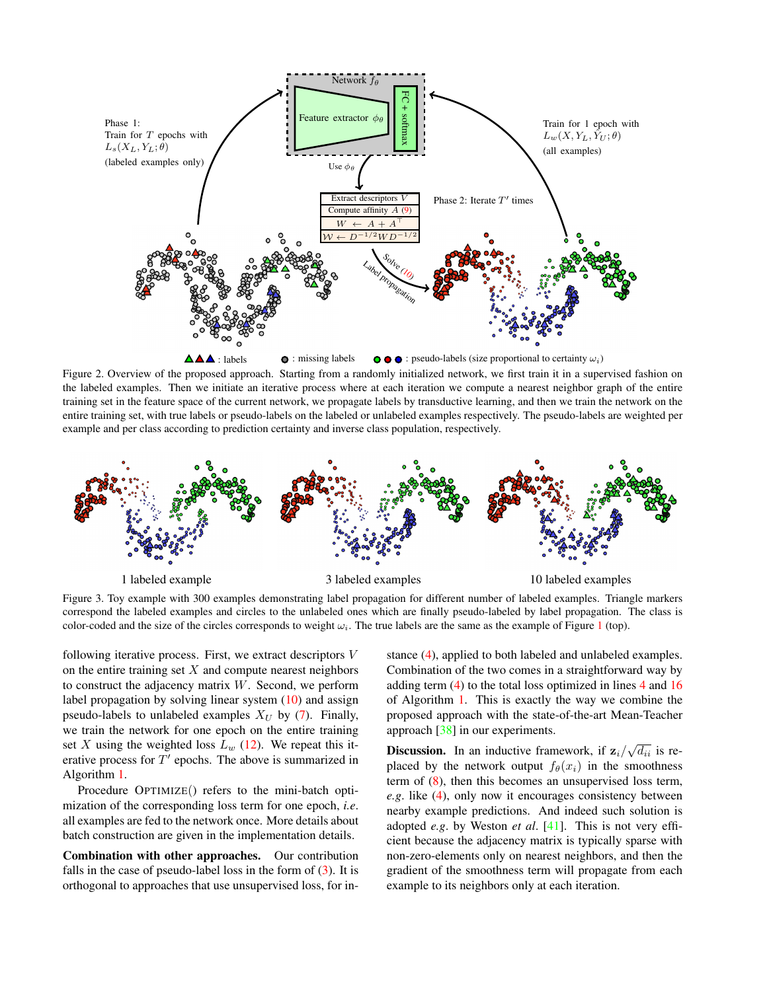<span id="page-4-2"></span>

<span id="page-4-0"></span>Figure 2. Overview of the proposed approach. Starting from a randomly initialized network, we first train it in a supervised fashion on the labeled examples. Then we initiate an iterative process where at each iteration we compute a nearest neighbor graph of the entire training set in the feature space of the current network, we propagate labels by transductive learning, and then we train the network on the entire training set, with true labels or pseudo-labels on the labeled or unlabeled examples respectively. The pseudo-labels are weighted per example and per class according to prediction certainty and inverse class population, respectively.



<span id="page-4-1"></span>Figure 3. Toy example with 300 examples demonstrating label propagation for different number of labeled examples. Triangle markers correspond the labeled examples and circles to the unlabeled ones which are finally pseudo-labeled by label propagation. The class is color-coded and the size of the circles corresponds to weight  $\omega_i$ . The true labels are the same as the example of Figure [1](#page-0-0) (top).

following iterative process. First, we extract descriptors V on the entire training set  $X$  and compute nearest neighbors to construct the adjacency matrix W. Second, we perform label propagation by solving linear system [\(10\)](#page-3-1) and assign pseudo-labels to unlabeled examples  $X_U$  by [\(7\)](#page-2-4). Finally, we train the network for one epoch on the entire training set X using the weighted loss  $L_w$  [\(12\)](#page-3-2). We repeat this iterative process for  $T'$  epochs. The above is summarized in Algorithm [1.](#page-5-1)

Procedure OPTIMIZE() refers to the mini-batch optimization of the corresponding loss term for one epoch, *i.e*. all examples are fed to the network once. More details about batch construction are given in the implementation details.

Combination with other approaches. Our contribution falls in the case of pseudo-label loss in the form of [\(3\)](#page-2-5). It is orthogonal to approaches that use unsupervised loss, for instance [\(4\)](#page-2-6), applied to both labeled and unlabeled examples. Combination of the two comes in a straightforward way by adding term [\(4\)](#page-2-6) to the total loss optimized in lines [4](#page-5-1) and [16](#page-5-1) of Algorithm [1.](#page-5-1) This is exactly the way we combine the proposed approach with the state-of-the-art Mean-Teacher approach [\[38\]](#page-8-7) in our experiments.

**Discussion.** In an inductive framework, if  $z_i/\sqrt{d_{ii}}$  is replaced by the network output  $f_{\theta}(x_i)$  in the smoothness term of [\(8\)](#page-3-3), then this becomes an unsupervised loss term, *e.g*. like [\(4\)](#page-2-6), only now it encourages consistency between nearby example predictions. And indeed such solution is adopted *e.g*. by Weston *et al*. [\[41\]](#page-9-4). This is not very efficient because the adjacency matrix is typically sparse with non-zero-elements only on nearest neighbors, and then the gradient of the smoothness term will propagate from each example to its neighbors only at each iteration.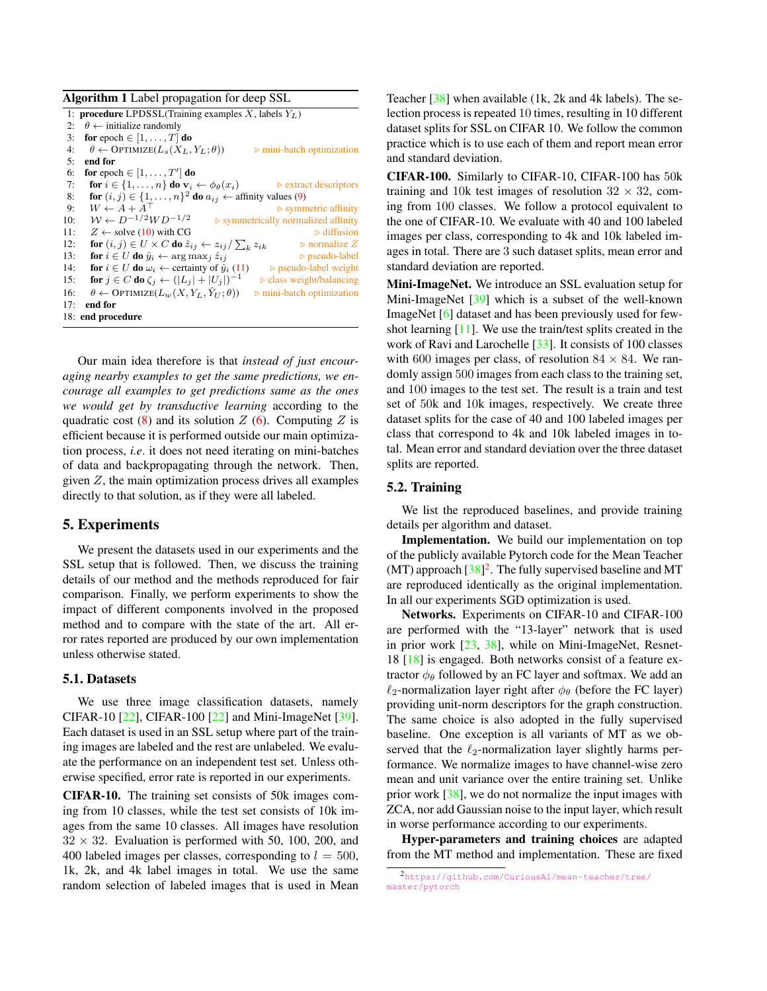<span id="page-5-3"></span><span id="page-5-1"></span>

| <b>Algorithm 1</b> Label propagation for deep SSL |                                                                                                                    |  |  |  |  |  |  |
|---------------------------------------------------|--------------------------------------------------------------------------------------------------------------------|--|--|--|--|--|--|
|                                                   | 1: <b>procedure</b> LPDSSL(Training examples X, labels $Y_L$ )                                                     |  |  |  |  |  |  |
| 2:                                                | $\theta \leftarrow$ initialize randomly                                                                            |  |  |  |  |  |  |
| 3:                                                | for epoch $\in [1, \ldots, T]$ do                                                                                  |  |  |  |  |  |  |
| 4:                                                | $\theta \leftarrow \text{OPTIMIZE}(L_s(X_L, Y_L; \theta))$<br>$\triangleright$ mini-batch optimization             |  |  |  |  |  |  |
| 5:                                                | end for                                                                                                            |  |  |  |  |  |  |
| 6:                                                | for epoch $\in [1, \ldots, T']$ do                                                                                 |  |  |  |  |  |  |
| 7:                                                | for $i \in \{1, \ldots, n\}$ do $\mathbf{v}_i \leftarrow \phi_\theta(x_i)$<br>$\triangleright$ extract descriptors |  |  |  |  |  |  |
| 8:                                                | for $(i, j) \in \{1, \ldots, n\}^2$ do $a_{ij} \leftarrow$ affinity values (9)                                     |  |  |  |  |  |  |
| 9:                                                | $W \leftarrow A + A^{\top}$<br>$\triangleright$ symmetric affinity                                                 |  |  |  |  |  |  |
| 10:                                               | $W \leftarrow D^{-1/2}WD^{-1/2}$<br>$\triangleright$ symmetrically normalized affinity                             |  |  |  |  |  |  |
| 11:                                               | $Z \leftarrow$ solve (10) with CG<br>$\triangleright$ diffusion                                                    |  |  |  |  |  |  |
| 12:                                               | for $(i, j) \in U \times C$ do $\hat{z}_{ij} \leftarrow z_{ij}/\sum_k z_{ik}$<br>$\triangleright$ normalize Z      |  |  |  |  |  |  |
| 13:                                               | for $i \in U$ do $\hat{y}_i \leftarrow \arg \max_i \hat{z}_{ij}$<br>$\triangleright$ pseudo-label                  |  |  |  |  |  |  |
| 14:                                               | for $i \in U$ do $\omega_i \leftarrow$ certainty of $\hat{y}_i$ (11)<br>$\triangleright$ pseudo-label weight       |  |  |  |  |  |  |
| 15:                                               | for $j \in C$ do $\zeta_i \leftarrow ( L_j  +  U_j )^{-1}$<br>$\triangleright$ class weight/balancing              |  |  |  |  |  |  |
| 16:                                               | $\theta \leftarrow \text{OPTIMIZE}(L_w(X, Y_L, \hat{Y}_{U}; \theta))$<br>$\triangleright$ mini-batch optimization  |  |  |  |  |  |  |
| 17:                                               | end for                                                                                                            |  |  |  |  |  |  |
|                                                   | 18: end procedure                                                                                                  |  |  |  |  |  |  |

Our main idea therefore is that *instead of just encouraging nearby examples to get the same predictions, we encourage all examples to get predictions same as the ones we would get by transductive learning* according to the quadratic cost  $(8)$  and its solution  $Z$  [\(6\)](#page-2-3). Computing  $Z$  is efficient because it is performed outside our main optimization process, *i.e*. it does not need iterating on mini-batches of data and backpropagating through the network. Then, given  $Z$ , the main optimization process drives all examples directly to that solution, as if they were all labeled.

## <span id="page-5-0"></span>5. Experiments

We present the datasets used in our experiments and the SSL setup that is followed. Then, we discuss the training details of our method and the methods reproduced for fair comparison. Finally, we perform experiments to show the impact of different components involved in the proposed method and to compare with the state of the art. All error rates reported are produced by our own implementation unless otherwise stated.

### 5.1. Datasets

We use three image classification datasets, namely CIFAR-10 [\[22\]](#page-8-31), CIFAR-100 [\[22\]](#page-8-31) and Mini-ImageNet [\[39\]](#page-8-32). Each dataset is used in an SSL setup where part of the training images are labeled and the rest are unlabeled. We evaluate the performance on an independent test set. Unless otherwise specified, error rate is reported in our experiments.

CIFAR-10. The training set consists of 50k images coming from 10 classes, while the test set consists of 10k images from the same 10 classes. All images have resolution  $32 \times 32$ . Evaluation is performed with 50, 100, 200, and 400 labeled images per classes, corresponding to  $l = 500$ , 1k, 2k, and 4k label images in total. We use the same random selection of labeled images that is used in Mean Teacher [\[38\]](#page-8-7) when available (1k, 2k and 4k labels). The selection process is repeated 10 times, resulting in 10 different dataset splits for SSL on CIFAR 10. We follow the common practice which is to use each of them and report mean error and standard deviation.

CIFAR-100. Similarly to CIFAR-10, CIFAR-100 has 50k training and 10k test images of resolution  $32 \times 32$ , coming from 100 classes. We follow a protocol equivalent to the one of CIFAR-10. We evaluate with 40 and 100 labeled images per class, corresponding to 4k and 10k labeled images in total. There are 3 such dataset splits, mean error and standard deviation are reported.

Mini-ImageNet. We introduce an SSL evaluation setup for Mini-ImageNet [\[39\]](#page-8-32) which is a subset of the well-known ImageNet [\[6\]](#page-8-33) dataset and has been previously used for fewshot learning [\[11\]](#page-8-34). We use the train/test splits created in the work of Ravi and Larochelle [\[33\]](#page-8-35). It consists of 100 classes with 600 images per class, of resolution 84  $\times$  84. We randomly assign 500 images from each class to the training set, and 100 images to the test set. The result is a train and test set of 50k and 10k images, respectively. We create three dataset splits for the case of 40 and 100 labeled images per class that correspond to 4k and 10k labeled images in total. Mean error and standard deviation over the three dataset splits are reported.

## 5.2. Training

We list the reproduced baselines, and provide training details per algorithm and dataset.

Implementation. We build our implementation on top of the publicly available Pytorch code for the Mean Teacher  $(MT)$  approach  $[38]^2$  $[38]^2$  $[38]^2$ . The fully supervised baseline and MT are reproduced identically as the original implementation. In all our experiments SGD optimization is used.

Networks. Experiments on CIFAR-10 and CIFAR-100 are performed with the "13-layer" network that is used in prior work [\[23,](#page-8-17) [38\]](#page-8-7), while on Mini-ImageNet, Resnet-18  $[18]$  is engaged. Both networks consist of a feature extractor  $\phi_{\theta}$  followed by an FC layer and softmax. We add an  $\ell_2$ -normalization layer right after  $\phi_\theta$  (before the FC layer) providing unit-norm descriptors for the graph construction. The same choice is also adopted in the fully supervised baseline. One exception is all variants of MT as we observed that the  $\ell_2$ -normalization layer slightly harms performance. We normalize images to have channel-wise zero mean and unit variance over the entire training set. Unlike prior work [\[38\]](#page-8-7), we do not normalize the input images with ZCA, nor add Gaussian noise to the input layer, which result in worse performance according to our experiments.

Hyper-parameters and training choices are adapted from the MT method and implementation. These are fixed

<span id="page-5-2"></span><sup>2</sup>[https://github.com/CuriousAI/mean-teacher/tree/](https://github.com/CuriousAI/mean-teacher/tree/master/pytorch) [master/pytorch](https://github.com/CuriousAI/mean-teacher/tree/master/pytorch)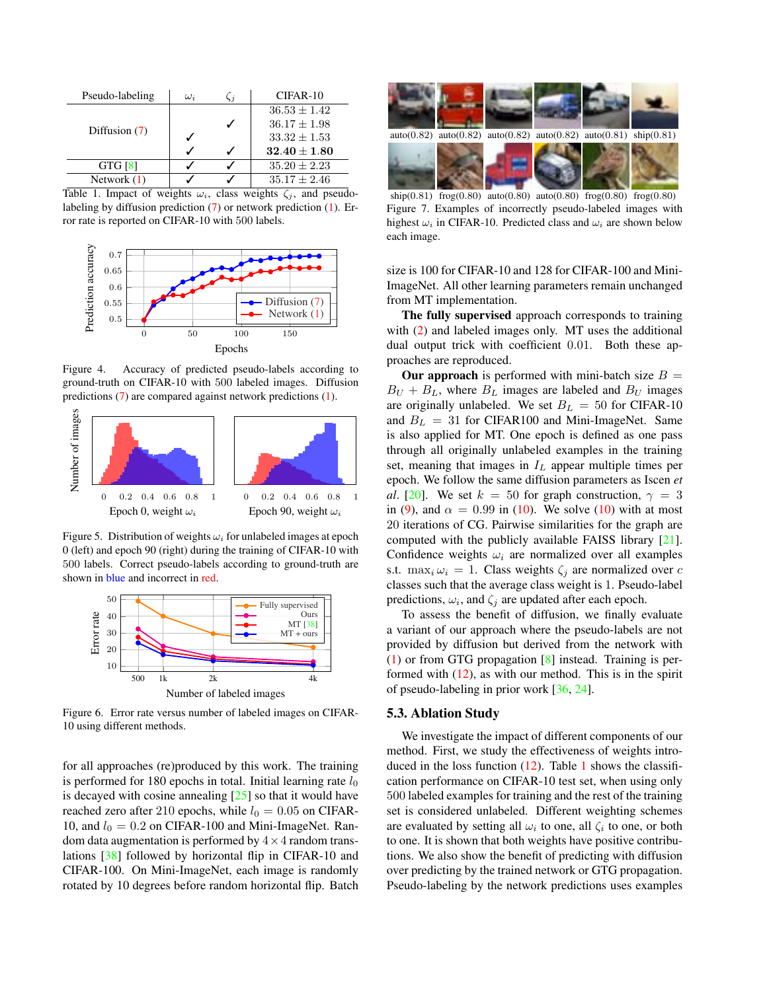<span id="page-6-5"></span>

| Pseudo-labeling | $\omega_i$ | $\zeta_i$ | $CIFAR-10$       |
|-----------------|------------|-----------|------------------|
|                 |            |           | $36.53 \pm 1.42$ |
|                 |            |           | $36.17 \pm 1.98$ |
| Diffusion $(7)$ |            |           | $33.32 \pm 1.53$ |
|                 |            |           | $32.40 \pm 1.80$ |
| GTG [8]         |            |           | $35.20 \pm 2.23$ |
| Network $(1)$   |            |           | $35.17 \pm 2.46$ |

<span id="page-6-0"></span>Table 1. Impact of weights  $\omega_i$ , class weights  $\zeta_i$ , and pseudolabeling by diffusion prediction [\(7\)](#page-2-4) or network prediction [\(1\)](#page-2-1). Error rate is reported on CIFAR-10 with 500 labels.



<span id="page-6-1"></span>Figure 4. Accuracy of predicted pseudo-labels according to ground-truth on CIFAR-10 with 500 labeled images. Diffusion predictions [\(7\)](#page-2-4) are compared against network predictions [\(1\)](#page-2-1).



<span id="page-6-2"></span>Figure 5. Distribution of weights  $\omega_i$  for unlabeled images at epoch 0 (left) and epoch 90 (right) during the training of CIFAR-10 with 500 labels. Correct pseudo-labels according to ground-truth are shown in blue and incorrect in red.



<span id="page-6-4"></span>Figure 6. Error rate versus number of labeled images on CIFAR-10 using different methods.

for all approaches (re)produced by this work. The training is performed for 180 epochs in total. Initial learning rate  $l_0$ is decayed with cosine annealing  $[25]$  so that it would have reached zero after 210 epochs, while  $l_0 = 0.05$  on CIFAR-10, and  $l_0 = 0.2$  on CIFAR-100 and Mini-ImageNet. Random data augmentation is performed by  $4 \times 4$  random translations [\[38\]](#page-8-7) followed by horizontal flip in CIFAR-10 and CIFAR-100. On Mini-ImageNet, each image is randomly rotated by 10 degrees before random horizontal flip. Batch



<span id="page-6-3"></span>ship(0.81) frog(0.80) auto(0.80) auto(0.80) frog(0.80) frog(0.80) Figure 7. Examples of incorrectly pseudo-labeled images with highest  $\omega_i$  in CIFAR-10. Predicted class and  $\omega_i$  are shown below each image.

size is 100 for CIFAR-10 and 128 for CIFAR-100 and Mini-ImageNet. All other learning parameters remain unchanged from MT implementation.

The fully supervised approach corresponds to training with [\(2\)](#page-2-0) and labeled images only. MT uses the additional dual output trick with coefficient 0.01. Both these approaches are reproduced.

**Our approach** is performed with mini-batch size  $B =$  $B_U + B_L$ , where  $B_L$  images are labeled and  $B_U$  images are originally unlabeled. We set  $B_L = 50$  for CIFAR-10 and  $B_L = 31$  for CIFAR100 and Mini-ImageNet. Same is also applied for MT. One epoch is defined as one pass through all originally unlabeled examples in the training set, meaning that images in  $I_L$  appear multiple times per epoch. We follow the same diffusion parameters as Iscen *et al*. [\[20\]](#page-8-28). We set  $k = 50$  for graph construction,  $\gamma = 3$ in [\(9\)](#page-3-0), and  $\alpha = 0.99$  in [\(10\)](#page-3-1). We solve (10) with at most 20 iterations of CG. Pairwise similarities for the graph are computed with the publicly available FAISS library [\[21\]](#page-8-38). Confidence weights  $\omega_i$  are normalized over all examples s.t.  $\max_i \omega_i = 1$ . Class weights  $\zeta_i$  are normalized over c classes such that the average class weight is 1. Pseudo-label predictions,  $\omega_i$ , and  $\zeta_j$  are updated after each epoch.

To assess the benefit of diffusion, we finally evaluate a variant of our approach where the pseudo-labels are not provided by diffusion but derived from the network with [\(1\)](#page-2-1) or from GTG propagation [\[8\]](#page-8-27) instead. Training is performed with  $(12)$ , as with our method. This is in the spirit of pseudo-labeling in prior work [\[36,](#page-8-19) [24\]](#page-8-8).

#### 5.3. Ablation Study

We investigate the impact of different components of our method. First, we study the effectiveness of weights introduced in the loss function  $(12)$ . Table [1](#page-6-0) shows the classification performance on CIFAR-10 test set, when using only 500 labeled examples for training and the rest of the training set is considered unlabeled. Different weighting schemes are evaluated by setting all  $\omega_i$  to one, all  $\zeta_i$  to one, or both to one. It is shown that both weights have positive contributions. We also show the benefit of predicting with diffusion over predicting by the trained network or GTG propagation. Pseudo-labeling by the network predictions uses examples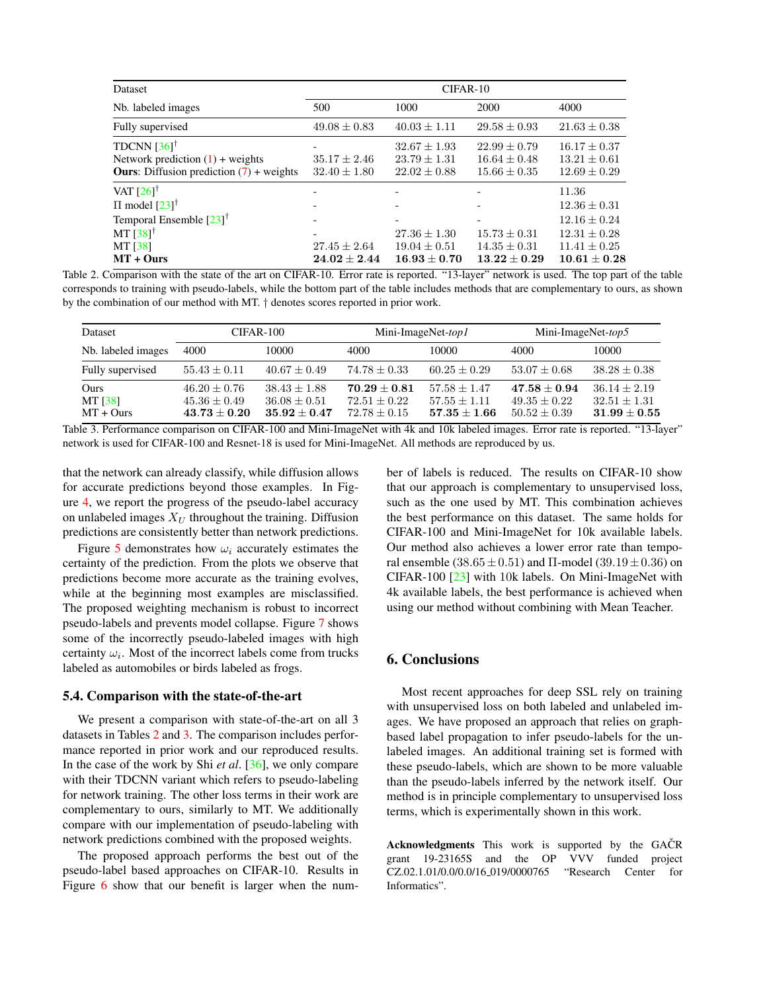<span id="page-7-2"></span>

| <b>Dataset</b>                                                                                                                                           | CIFAR-10                             |                                                          |                                                                                    |                                                                                                           |  |
|----------------------------------------------------------------------------------------------------------------------------------------------------------|--------------------------------------|----------------------------------------------------------|------------------------------------------------------------------------------------|-----------------------------------------------------------------------------------------------------------|--|
| Nb. labeled images                                                                                                                                       | 500                                  | 1000                                                     | 2000                                                                               | 4000                                                                                                      |  |
| Fully supervised                                                                                                                                         | $49.08 \pm 0.83$                     | $40.03 \pm 1.11$                                         | $29.58 \pm 0.93$                                                                   | $21.63 \pm 0.38$                                                                                          |  |
| TDCNN $[36]^\dagger$<br>Network prediction $(1)$ + weights<br><b>Ours:</b> Diffusion prediction $(7)$ + weights                                          | $35.17 \pm 2.46$<br>$32.40 \pm 1.80$ | $32.67 \pm 1.93$<br>$23.79 \pm 1.31$<br>$22.02 \pm 0.88$ | $22.99 \pm 0.79$<br>$16.64 \pm 0.48$<br>$15.66 \pm 0.35$                           | $16.17 \pm 0.37$<br>$13.21 \pm 0.61$<br>$12.69 \pm 0.29$                                                  |  |
| VAT $[26]$ <sup>†</sup><br>$\Pi$ model $[23]^\dagger$<br>Temporal Ensemble $\left[23\right]^\dagger$<br>MT $[38]$ <sup>†</sup><br>MT [38]<br>$MT + Ours$ | $27.45 \pm 2.64$<br>$24.02 \pm 2.44$ | $27.36 \pm 1.30$<br>$19.04 \pm 0.51$<br>$16.93 + 0.70$   | $\overline{\phantom{a}}$<br>$15.73 \pm 0.31$<br>$14.35 \pm 0.31$<br>$13.22 + 0.29$ | 11.36<br>$12.36 \pm 0.31$<br>$12.16 \pm 0.24$<br>$12.31 \pm 0.28$<br>$11.41 \pm 0.25$<br>$10.61 \pm 0.28$ |  |

<span id="page-7-0"></span>Table 2. Comparison with the state of the art on CIFAR-10. Error rate is reported. "13-layer" network is used. The top part of the table corresponds to training with pseudo-labels, while the bottom part of the table includes methods that are complementary to ours, as shown by the combination of our method with MT. † denotes scores reported in prior work.

| <b>Dataset</b>                 | CIFAR-100                                            |                                                        |                                                    | Mini-ImageNet-top1                                 | Mini-ImageNet-top5                                 |                                                      |
|--------------------------------|------------------------------------------------------|--------------------------------------------------------|----------------------------------------------------|----------------------------------------------------|----------------------------------------------------|------------------------------------------------------|
| Nb. labeled images             | 4000                                                 | 10000                                                  | 4000                                               | 10000                                              | 4000                                               | 10000                                                |
| Fully supervised               | $55.43 \pm 0.11$                                     | $40.67 \pm 0.49$                                       | $74.78 \pm 0.33$                                   | $60.25 + 0.29$                                     | $53.07 \pm 0.68$                                   | $38.28 \pm 0.38$                                     |
| Ours<br>MT [38]<br>$MT + Ours$ | $46.20 \pm 0.76$<br>$45.36 + 0.49$<br>$43.73 + 0.20$ | $38.43 \pm 1.88$<br>$36.08 + 0.51$<br>$35.92 \pm 0.47$ | $70.29 + 0.81$<br>$72.51 + 0.22$<br>$72.78 + 0.15$ | $57.58 + 1.47$<br>$57.55 + 1.11$<br>$57.35 + 1.66$ | $47.58 + 0.94$<br>$49.35 + 0.22$<br>$50.52 + 0.39$ | $36.14 \pm 2.19$<br>$32.51 + 1.31$<br>$31.99 + 0.55$ |

<span id="page-7-1"></span>Table 3. Performance comparison on CIFAR-100 and Mini-ImageNet with 4k and 10k labeled images. Error rate is reported. "13-layer" network is used for CIFAR-100 and Resnet-18 is used for Mini-ImageNet. All methods are reproduced by us.

that the network can already classify, while diffusion allows for accurate predictions beyond those examples. In Figure [4,](#page-6-1) we report the progress of the pseudo-label accuracy on unlabeled images  $X_U$  throughout the training. Diffusion predictions are consistently better than network predictions.

Figure [5](#page-6-2) demonstrates how  $\omega_i$  accurately estimates the certainty of the prediction. From the plots we observe that predictions become more accurate as the training evolves, while at the beginning most examples are misclassified. The proposed weighting mechanism is robust to incorrect pseudo-labels and prevents model collapse. Figure [7](#page-6-3) shows some of the incorrectly pseudo-labeled images with high certainty  $\omega_i$ . Most of the incorrect labels come from trucks labeled as automobiles or birds labeled as frogs.

#### 5.4. Comparison with the state-of-the-art

We present a comparison with state-of-the-art on all 3 datasets in Tables [2](#page-7-0) and [3.](#page-7-1) The comparison includes performance reported in prior work and our reproduced results. In the case of the work by Shi *et al*. [\[36\]](#page-8-19), we only compare with their TDCNN variant which refers to pseudo-labeling for network training. The other loss terms in their work are complementary to ours, similarly to MT. We additionally compare with our implementation of pseudo-labeling with network predictions combined with the proposed weights.

The proposed approach performs the best out of the pseudo-label based approaches on CIFAR-10. Results in Figure [6](#page-6-4) show that our benefit is larger when the number of labels is reduced. The results on CIFAR-10 show that our approach is complementary to unsupervised loss, such as the one used by MT. This combination achieves the best performance on this dataset. The same holds for CIFAR-100 and Mini-ImageNet for 10k available labels. Our method also achieves a lower error rate than temporal ensemble (38.65 ± 0.51) and Π-model (39.19 ± 0.36) on CIFAR-100 [\[23\]](#page-8-17) with 10k labels. On Mini-ImageNet with 4k available labels, the best performance is achieved when using our method without combining with Mean Teacher.

# 6. Conclusions

Most recent approaches for deep SSL rely on training with unsupervised loss on both labeled and unlabeled images. We have proposed an approach that relies on graphbased label propagation to infer pseudo-labels for the unlabeled images. An additional training set is formed with these pseudo-labels, which are shown to be more valuable than the pseudo-labels inferred by the network itself. Our method is in principle complementary to unsupervised loss terms, which is experimentally shown in this work.

Acknowledgments This work is supported by the GAČR grant 19-23165S and the OP VVV funded project CZ.02.1.01/0.0/0.0/16 019/0000765 "Research Center for Informatics".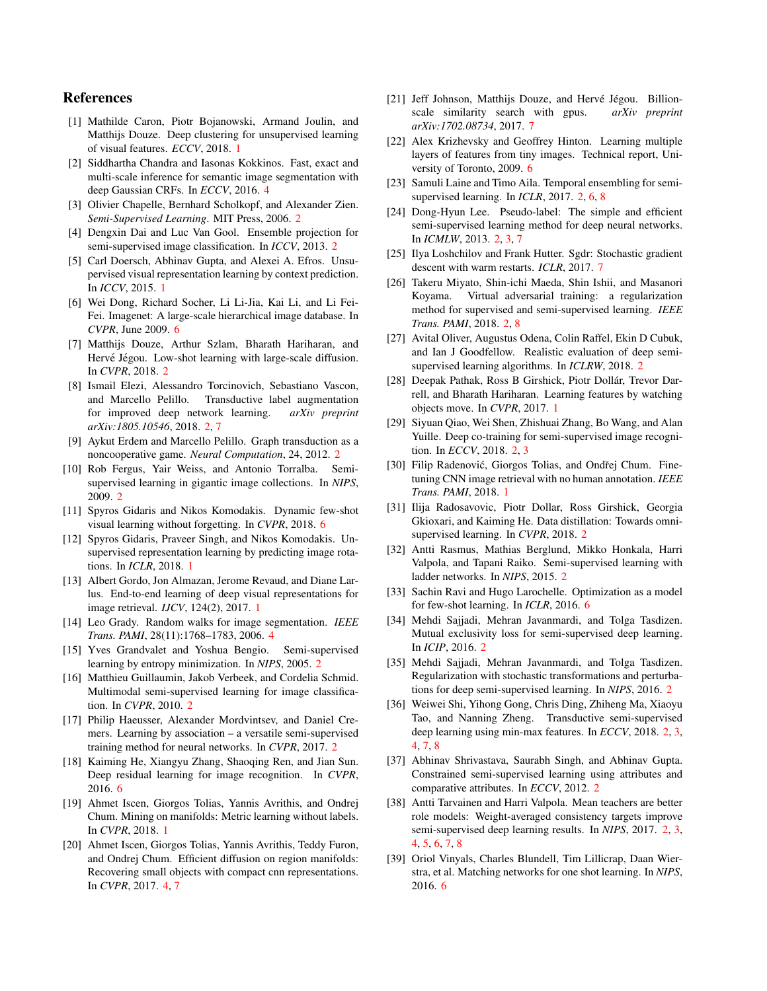## References

- <span id="page-8-0"></span>[1] Mathilde Caron, Piotr Bojanowski, Armand Joulin, and Matthijs Douze. Deep clustering for unsupervised learning of visual features. *ECCV*, 2018. [1](#page-0-1)
- <span id="page-8-30"></span>[2] Siddhartha Chandra and Iasonas Kokkinos. Fast, exact and multi-scale inference for semantic image segmentation with deep Gaussian CRFs. In *ECCV*, 2016. [4](#page-3-5)
- <span id="page-8-11"></span>[3] Olivier Chapelle, Bernhard Scholkopf, and Alexander Zien. *Semi-Supervised Learning*. MIT Press, 2006. [2](#page-1-0)
- <span id="page-8-14"></span>[4] Dengxin Dai and Luc Van Gool. Ensemble projection for semi-supervised image classification. In *ICCV*, 2013. [2](#page-1-0)
- <span id="page-8-2"></span>[5] Carl Doersch, Abhinav Gupta, and Alexei A. Efros. Unsupervised visual representation learning by context prediction. In *ICCV*, 2015. [1](#page-0-1)
- <span id="page-8-33"></span>[6] Wei Dong, Richard Socher, Li Li-Jia, Kai Li, and Li Fei-Fei. Imagenet: A large-scale hierarchical image database. In *CVPR*, June 2009. [6](#page-5-3)
- <span id="page-8-24"></span>[7] Matthijs Douze, Arthur Szlam, Bharath Hariharan, and Hervé Jégou. Low-shot learning with large-scale diffusion. In *CVPR*, 2018. [2](#page-1-0)
- <span id="page-8-27"></span>[8] Ismail Elezi, Alessandro Torcinovich, Sebastiano Vascon, and Marcello Pelillo. Transductive label augmentation for improved deep network learning. *arXiv preprint arXiv:1805.10546*, 2018. [2,](#page-1-0) [7](#page-6-5)
- <span id="page-8-26"></span>[9] Aykut Erdem and Marcello Pelillo. Graph transduction as a noncooperative game. *Neural Computation*, 24, 2012. [2](#page-1-0)
- <span id="page-8-12"></span>[10] Rob Fergus, Yair Weiss, and Antonio Torralba. Semisupervised learning in gigantic image collections. In *NIPS*, 2009. [2](#page-1-0)
- <span id="page-8-34"></span>[11] Spyros Gidaris and Nikos Komodakis. Dynamic few-shot visual learning without forgetting. In *CVPR*, 2018. [6](#page-5-3)
- <span id="page-8-3"></span>[12] Spyros Gidaris, Praveer Singh, and Nikos Komodakis. Unsupervised representation learning by predicting image rotations. In *ICLR*, 2018. [1](#page-0-1)
- <span id="page-8-5"></span>[13] Albert Gordo, Jon Almazan, Jerome Revaud, and Diane Larlus. End-to-end learning of deep visual representations for image retrieval. *IJCV*, 124(2), 2017. [1](#page-0-1)
- <span id="page-8-29"></span>[14] Leo Grady. Random walks for image segmentation. *IEEE Trans. PAMI*, 28(11):1768–1783, 2006. [4](#page-3-5)
- <span id="page-8-16"></span>[15] Yves Grandvalet and Yoshua Bengio. Semi-supervised learning by entropy minimization. In *NIPS*, 2005. [2](#page-1-0)
- <span id="page-8-13"></span>[16] Matthieu Guillaumin, Jakob Verbeek, and Cordelia Schmid. Multimodal semi-supervised learning for image classification. In *CVPR*, 2010. [2](#page-1-0)
- <span id="page-8-25"></span>[17] Philip Haeusser, Alexander Mordvintsev, and Daniel Cremers. Learning by association – a versatile semi-supervised training method for neural networks. In *CVPR*, 2017. [2](#page-1-0)
- <span id="page-8-36"></span>[18] Kaiming He, Xiangyu Zhang, Shaoqing Ren, and Jian Sun. Deep residual learning for image recognition. In *CVPR*, 2016. [6](#page-5-3)
- <span id="page-8-1"></span>[19] Ahmet Iscen, Giorgos Tolias, Yannis Avrithis, and Ondrej Chum. Mining on manifolds: Metric learning without labels. In *CVPR*, 2018. [1](#page-0-1)
- <span id="page-8-28"></span>[20] Ahmet Iscen, Giorgos Tolias, Yannis Avrithis, Teddy Furon, and Ondrej Chum. Efficient diffusion on region manifolds: Recovering small objects with compact cnn representations. In *CVPR*, 2017. [4,](#page-3-5) [7](#page-6-5)
- <span id="page-8-38"></span>[21] Jeff Johnson, Matthijs Douze, and Hervé Jégou. Billionscale similarity search with gpus. *arXiv preprint arXiv:1702.08734*, 2017. [7](#page-6-5)
- <span id="page-8-31"></span>[22] Alex Krizhevsky and Geoffrey Hinton. Learning multiple layers of features from tiny images. Technical report, University of Toronto, 2009. [6](#page-5-3)
- <span id="page-8-17"></span>[23] Samuli Laine and Timo Aila. Temporal ensembling for semisupervised learning. In *ICLR*, 2017. [2,](#page-1-0) [6,](#page-5-3) [8](#page-7-2)
- <span id="page-8-8"></span>[24] Dong-Hyun Lee. Pseudo-label: The simple and efficient semi-supervised learning method for deep neural networks. In *ICMLW*, 2013. [2,](#page-1-0) [3,](#page-2-7) [7](#page-6-5)
- <span id="page-8-37"></span>[25] Ilya Loshchilov and Frank Hutter. Sgdr: Stochastic gradient descent with warm restarts. *ICLR*, 2017. [7](#page-6-5)
- <span id="page-8-23"></span>[26] Takeru Miyato, Shin-ichi Maeda, Shin Ishii, and Masanori Koyama. Virtual adversarial training: a regularization method for supervised and semi-supervised learning. *IEEE Trans. PAMI*, 2018. [2,](#page-1-0) [8](#page-7-2)
- <span id="page-8-20"></span>[27] Avital Oliver, Augustus Odena, Colin Raffel, Ekin D Cubuk, and Ian J Goodfellow. Realistic evaluation of deep semisupervised learning algorithms. In *ICLRW*, 2018. [2](#page-1-0)
- <span id="page-8-4"></span>[28] Deepak Pathak, Ross B Girshick, Piotr Dollár, Trevor Darrell, and Bharath Hariharan. Learning features by watching objects move. In *CVPR*, 2017. [1](#page-0-1)
- <span id="page-8-22"></span>[29] Siyuan Qiao, Wei Shen, Zhishuai Zhang, Bo Wang, and Alan Yuille. Deep co-training for semi-supervised image recognition. In *ECCV*, 2018. [2,](#page-1-0) [3](#page-2-7)
- <span id="page-8-6"></span>[30] Filip Radenović, Giorgos Tolias, and Ondřej Chum. Finetuning CNN image retrieval with no human annotation. *IEEE Trans. PAMI*, 2018. [1](#page-0-1)
- <span id="page-8-10"></span>[31] Ilija Radosavovic, Piotr Dollar, Ross Girshick, Georgia Gkioxari, and Kaiming He. Data distillation: Towards omnisupervised learning. In *CVPR*, 2018. [2](#page-1-0)
- <span id="page-8-21"></span>[32] Antti Rasmus, Mathias Berglund, Mikko Honkala, Harri Valpola, and Tapani Raiko. Semi-supervised learning with ladder networks. In *NIPS*, 2015. [2](#page-1-0)
- <span id="page-8-35"></span>[33] Sachin Ravi and Hugo Larochelle. Optimization as a model for few-shot learning. In *ICLR*, 2016. [6](#page-5-3)
- <span id="page-8-18"></span>[34] Mehdi Sajjadi, Mehran Javanmardi, and Tolga Tasdizen. Mutual exclusivity loss for semi-supervised deep learning. In *ICIP*, 2016. [2](#page-1-0)
- <span id="page-8-9"></span>[35] Mehdi Sajjadi, Mehran Javanmardi, and Tolga Tasdizen. Regularization with stochastic transformations and perturbations for deep semi-supervised learning. In *NIPS*, 2016. [2](#page-1-0)
- <span id="page-8-19"></span>[36] Weiwei Shi, Yihong Gong, Chris Ding, Zhiheng Ma, Xiaoyu Tao, and Nanning Zheng. Transductive semi-supervised deep learning using min-max features. In *ECCV*, 2018. [2,](#page-1-0) [3,](#page-2-7) [4,](#page-3-5) [7,](#page-6-5) [8](#page-7-2)
- <span id="page-8-15"></span>[37] Abhinav Shrivastava, Saurabh Singh, and Abhinav Gupta. Constrained semi-supervised learning using attributes and comparative attributes. In *ECCV*, 2012. [2](#page-1-0)
- <span id="page-8-7"></span>[38] Antti Tarvainen and Harri Valpola. Mean teachers are better role models: Weight-averaged consistency targets improve semi-supervised deep learning results. In *NIPS*, 2017. [2,](#page-1-0) [3,](#page-2-7) [4,](#page-3-5) [5,](#page-4-2) [6,](#page-5-3) [7,](#page-6-5) [8](#page-7-2)
- <span id="page-8-32"></span>[39] Oriol Vinyals, Charles Blundell, Tim Lillicrap, Daan Wierstra, et al. Matching networks for one shot learning. In *NIPS*, 2016. [6](#page-5-3)